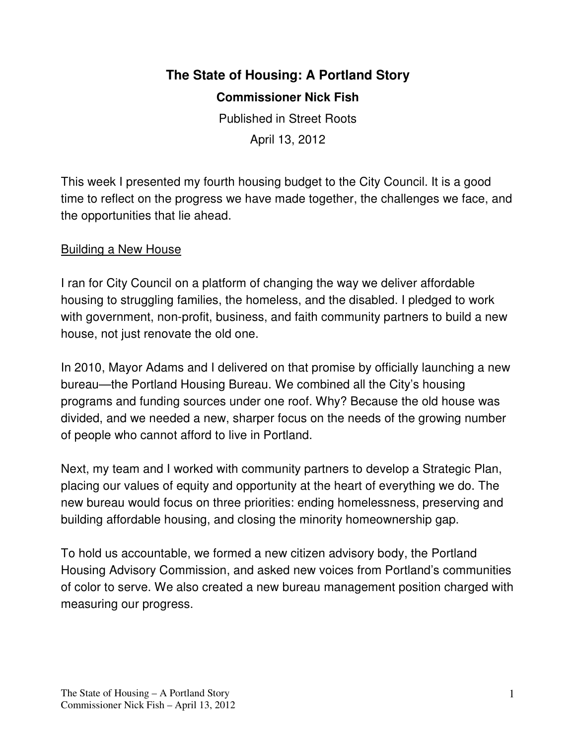# **The State of Housing: A Portland Story**

**Commissioner Nick Fish** 

Published in Street Roots April 13, 2012

This week I presented my fourth housing budget to the City Council. It is a good time to reflect on the progress we have made together, the challenges we face, and the opportunities that lie ahead.

## Building a New House

I ran for City Council on a platform of changing the way we deliver affordable housing to struggling families, the homeless, and the disabled. I pledged to work with government, non-profit, business, and faith community partners to build a new house, not just renovate the old one.

In 2010, Mayor Adams and I delivered on that promise by officially launching a new bureau—the Portland Housing Bureau. We combined all the City's housing programs and funding sources under one roof. Why? Because the old house was divided, and we needed a new, sharper focus on the needs of the growing number of people who cannot afford to live in Portland.

Next, my team and I worked with community partners to develop a Strategic Plan, placing our values of equity and opportunity at the heart of everything we do. The new bureau would focus on three priorities: ending homelessness, preserving and building affordable housing, and closing the minority homeownership gap.

To hold us accountable, we formed a new citizen advisory body, the Portland Housing Advisory Commission, and asked new voices from Portland's communities of color to serve. We also created a new bureau management position charged with measuring our progress.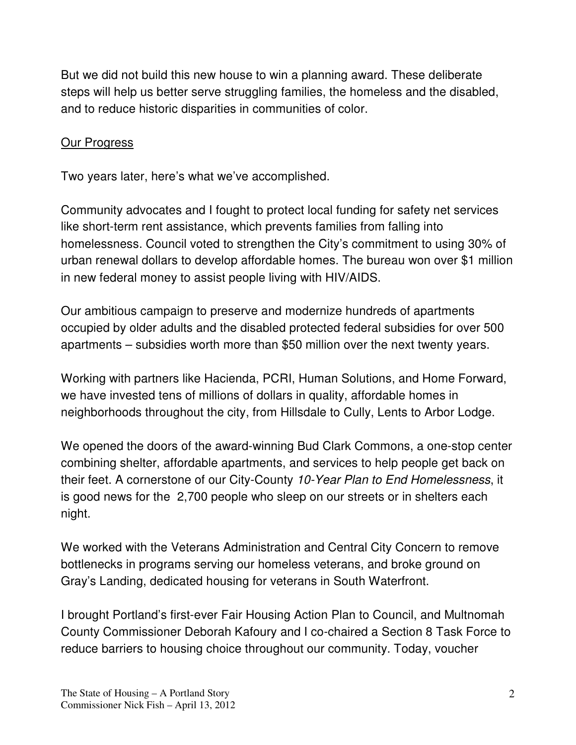But we did not build this new house to win a planning award. These deliberate steps will help us better serve struggling families, the homeless and the disabled, and to reduce historic disparities in communities of color.

## Our Progress

Two years later, here's what we've accomplished.

Community advocates and I fought to protect local funding for safety net services like short-term rent assistance, which prevents families from falling into homelessness. Council voted to strengthen the City's commitment to using 30% of urban renewal dollars to develop affordable homes. The bureau won over \$1 million in new federal money to assist people living with HIV/AIDS.

Our ambitious campaign to preserve and modernize hundreds of apartments occupied by older adults and the disabled protected federal subsidies for over 500 apartments – subsidies worth more than \$50 million over the next twenty years.

Working with partners like Hacienda, PCRI, Human Solutions, and Home Forward, we have invested tens of millions of dollars in quality, affordable homes in neighborhoods throughout the city, from Hillsdale to Cully, Lents to Arbor Lodge.

We opened the doors of the award-winning Bud Clark Commons, a one-stop center combining shelter, affordable apartments, and services to help people get back on their feet. A cornerstone of our City-County 10-Year Plan to End Homelessness, it is good news for the 2,700 people who sleep on our streets or in shelters each night.

We worked with the Veterans Administration and Central City Concern to remove bottlenecks in programs serving our homeless veterans, and broke ground on Gray's Landing, dedicated housing for veterans in South Waterfront.

I brought Portland's first-ever Fair Housing Action Plan to Council, and Multnomah County Commissioner Deborah Kafoury and I co-chaired a Section 8 Task Force to reduce barriers to housing choice throughout our community. Today, voucher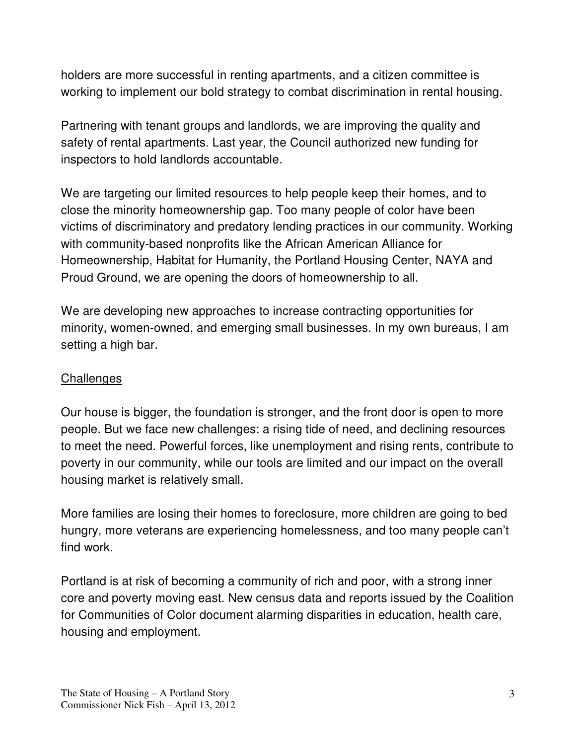holders are more successful in renting apartments, and a citizen committee is working to implement our bold strategy to combat discrimination in rental housing.

Partnering with tenant groups and landlords, we are improving the quality and safety of rental apartments. Last year, the Council authorized new funding for inspectors to hold landlords accountable.

We are targeting our limited resources to help people keep their homes, and to close the minority homeownership gap. Too many people of color have been victims of discriminatory and predatory lending practices in our community. Working with community-based nonprofits like the African American Alliance for Homeownership, Habitat for Humanity, the Portland Housing Center, NAYA and Proud Ground, we are opening the doors of homeownership to all.

We are developing new approaches to increase contracting opportunities for minority, women-owned, and emerging small businesses. In my own bureaus, I am setting a high bar.

### **Challenges**

Our house is bigger, the foundation is stronger, and the front door is open to more people. But we face new challenges: a rising tide of need, and declining resources to meet the need. Powerful forces, like unemployment and rising rents, contribute to poverty in our community, while our tools are limited and our impact on the overall housing market is relatively small.

More families are losing their homes to foreclosure, more children are going to bed hungry, more veterans are experiencing homelessness, and too many people can't find work.

Portland is at risk of becoming a community of rich and poor, with a strong inner core and poverty moving east. New census data and reports issued by the Coalition for Communities of Color document alarming disparities in education, health care, housing and employment.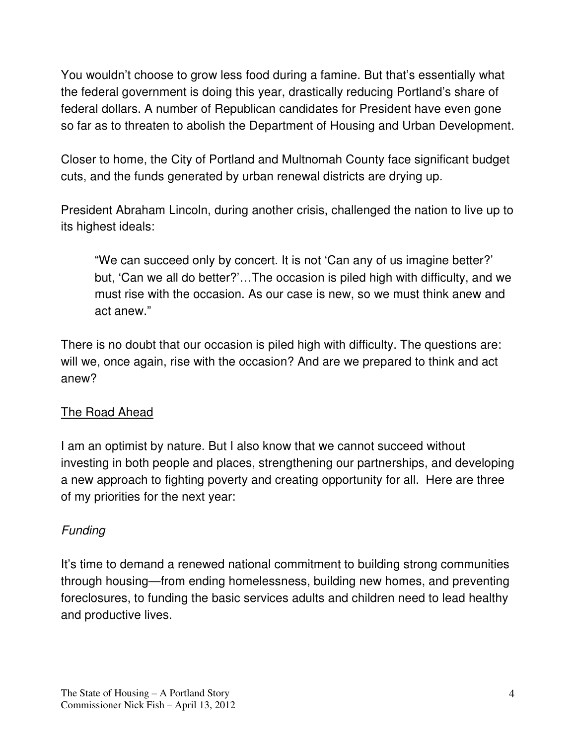You wouldn't choose to grow less food during a famine. But that's essentially what the federal government is doing this year, drastically reducing Portland's share of federal dollars. A number of Republican candidates for President have even gone so far as to threaten to abolish the Department of Housing and Urban Development.

Closer to home, the City of Portland and Multnomah County face significant budget cuts, and the funds generated by urban renewal districts are drying up.

President Abraham Lincoln, during another crisis, challenged the nation to live up to its highest ideals:

"We can succeed only by concert. It is not 'Can any of us imagine better?' but, 'Can we all do better?'…The occasion is piled high with difficulty, and we must rise with the occasion. As our case is new, so we must think anew and act anew."

There is no doubt that our occasion is piled high with difficulty. The questions are: will we, once again, rise with the occasion? And are we prepared to think and act anew?

#### The Road Ahead

I am an optimist by nature. But I also know that we cannot succeed without investing in both people and places, strengthening our partnerships, and developing a new approach to fighting poverty and creating opportunity for all. Here are three of my priorities for the next year:

## **Funding**

It's time to demand a renewed national commitment to building strong communities through housing—from ending homelessness, building new homes, and preventing foreclosures, to funding the basic services adults and children need to lead healthy and productive lives.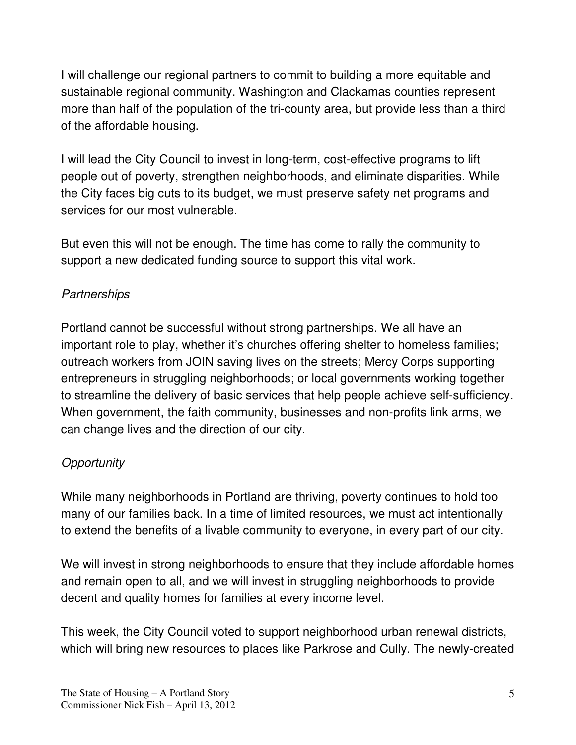I will challenge our regional partners to commit to building a more equitable and sustainable regional community. Washington and Clackamas counties represent more than half of the population of the tri-county area, but provide less than a third of the affordable housing.

I will lead the City Council to invest in long-term, cost-effective programs to lift people out of poverty, strengthen neighborhoods, and eliminate disparities. While the City faces big cuts to its budget, we must preserve safety net programs and services for our most vulnerable.

But even this will not be enough. The time has come to rally the community to support a new dedicated funding source to support this vital work.

# **Partnerships**

Portland cannot be successful without strong partnerships. We all have an important role to play, whether it's churches offering shelter to homeless families; outreach workers from JOIN saving lives on the streets; Mercy Corps supporting entrepreneurs in struggling neighborhoods; or local governments working together to streamline the delivery of basic services that help people achieve self-sufficiency. When government, the faith community, businesses and non-profits link arms, we can change lives and the direction of our city.

# **Opportunity**

While many neighborhoods in Portland are thriving, poverty continues to hold too many of our families back. In a time of limited resources, we must act intentionally to extend the benefits of a livable community to everyone, in every part of our city.

We will invest in strong neighborhoods to ensure that they include affordable homes and remain open to all, and we will invest in struggling neighborhoods to provide decent and quality homes for families at every income level.

This week, the City Council voted to support neighborhood urban renewal districts, which will bring new resources to places like Parkrose and Cully. The newly-created